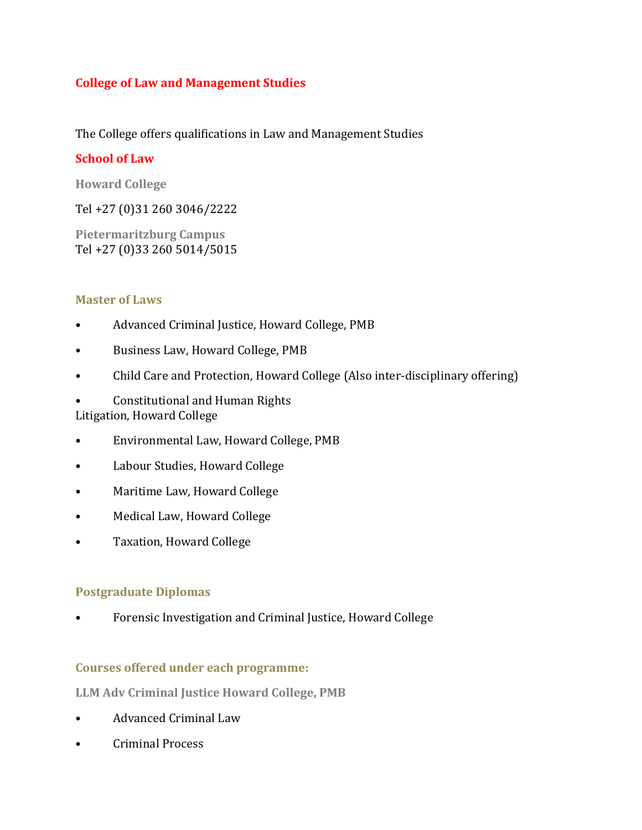### **College of Law and Management Studies**

The College offers qualifications in Law and Management Studies

### **School of Law**

**Howard College**

Tel +27 (0)31 260 3046/2222

**Pietermaritzburg Campus** Tel +27 (0)33 260 5014/5015

### **Master of Laws**

- Advanced Criminal Justice, Howard College, PMB
- Business Law, Howard College, PMB
- Child Care and Protection, Howard College (Also inter-disciplinary offering)
- Constitutional and Human Rights Litigation, Howard College
- Environmental Law, Howard College, PMB
- Labour Studies, Howard College
- Maritime Law, Howard College
- Medical Law, Howard College
- Taxation, Howard College

## **Postgraduate Diplomas**

• Forensic Investigation and Criminal Justice, Howard College

## **Courses offered under each programme:**

**LLM Adv Criminal Justice Howard College, PMB**

- Advanced Criminal Law
- Criminal Process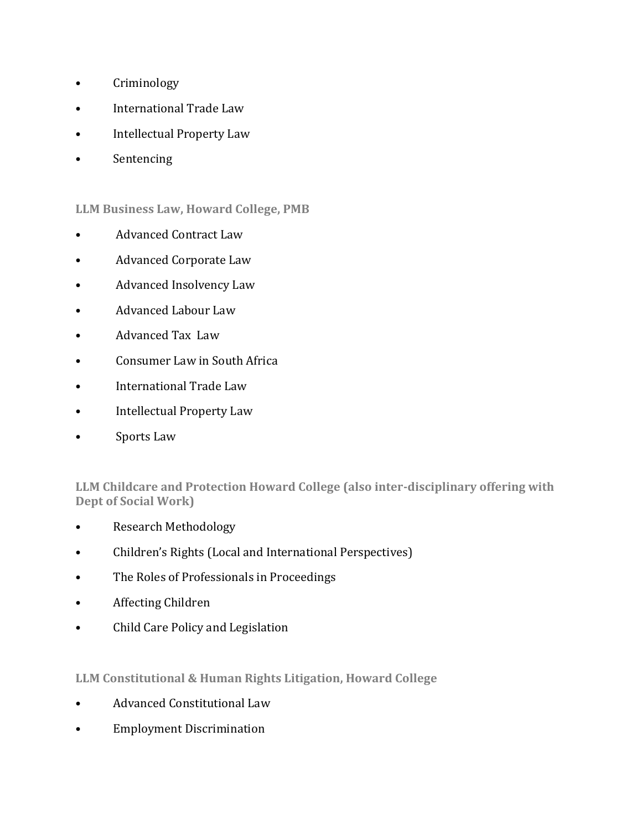- Criminology
- International Trade Law
- Intellectual Property Law
- Sentencing

### **LLM Business Law, Howard College, PMB**

- Advanced Contract Law
- Advanced Corporate Law
- Advanced Insolvency Law
- Advanced Labour Law
- Advanced Tax Law
- Consumer Law in South Africa
- International Trade Law
- Intellectual Property Law
- Sports Law

**LLM Childcare and Protection Howard College (also inter-disciplinary offering with Dept of Social Work)**

- Research Methodology
- Children's Rights (Local and International Perspectives)
- The Roles of Professionals in Proceedings
- Affecting Children
- Child Care Policy and Legislation

#### **LLM Constitutional & Human Rights Litigation, Howard College**

- Advanced Constitutional Law
- Employment Discrimination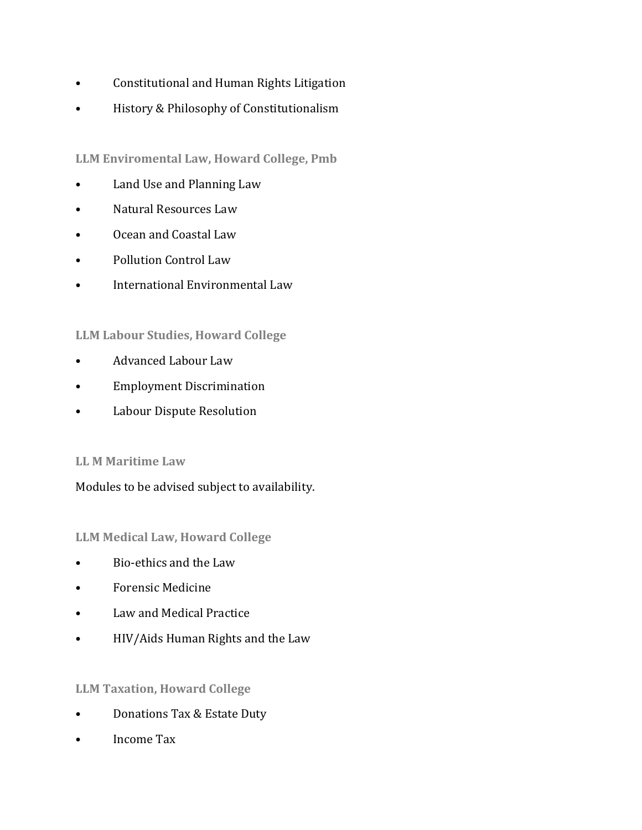- Constitutional and Human Rights Litigation
- History & Philosophy of Constitutionalism

**LLM Enviromental Law, Howard College, Pmb**

- Land Use and Planning Law
- Natural Resources Law
- Ocean and Coastal Law
- Pollution Control Law
- International Environmental Law

## **LLM Labour Studies, Howard College**

- Advanced Labour Law
- Employment Discrimination
- Labour Dispute Resolution

## **LL M Maritime Law**

Modules to be advised subject to availability.

**LLM Medical Law, Howard College**

- Bio-ethics and the Law
- Forensic Medicine
- Law and Medical Practice
- HIV/Aids Human Rights and the Law

## **LLM Taxation, Howard College**

- Donations Tax & Estate Duty
- Income Tax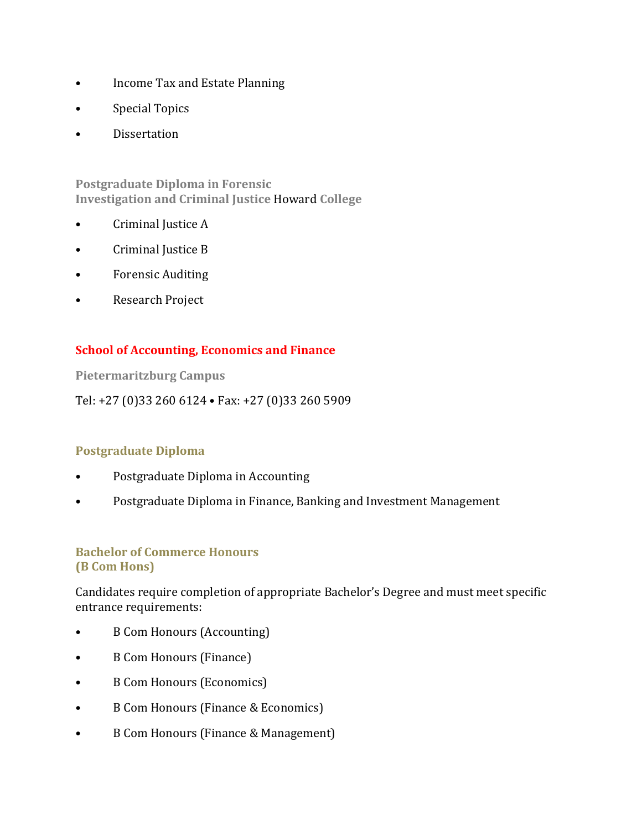- Income Tax and Estate Planning
- Special Topics
- **Dissertation**

**Postgraduate Diploma in Forensic Investigation and Criminal Justice** Howard **College**

- Criminal Justice A
- Criminal Justice B
- Forensic Auditing
- Research Project

### **School of Accounting, Economics and Finance**

**Pietermaritzburg Campus** 

Tel: +27 (0)33 260 6124 • Fax: +27 (0)33 260 5909

#### **Postgraduate Diploma**

- Postgraduate Diploma in Accounting
- Postgraduate Diploma in Finance, Banking and Investment Management

#### **Bachelor of Commerce Honours (B Com Hons)**

Candidates require completion of appropriate Bachelor's Degree and must meet specific entrance requirements:

- B Com Honours (Accounting)
- B Com Honours (Finance)
- B Com Honours (Economics)
- B Com Honours (Finance & Economics)
- B Com Honours (Finance & Management)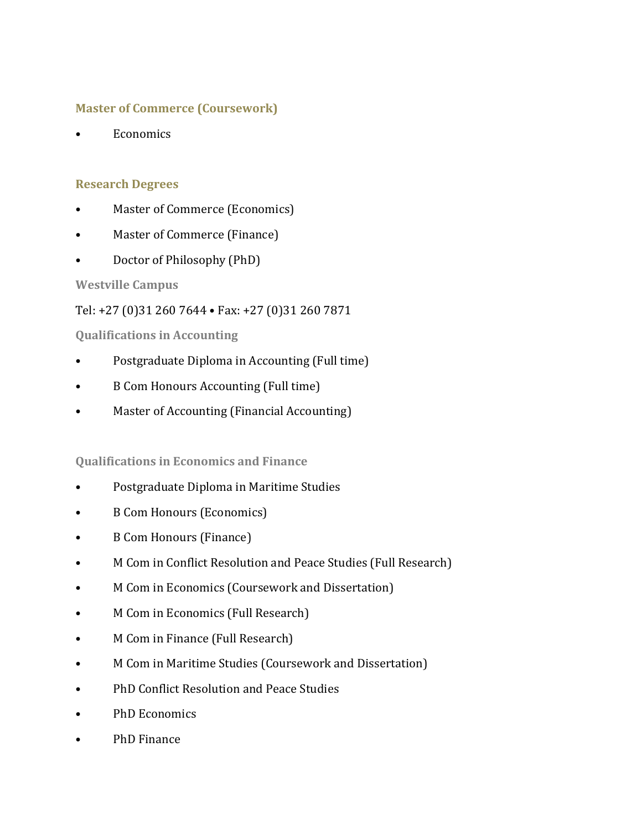### **Master of Commerce (Coursework)**

**Economics** 

### **Research Degrees**

- Master of Commerce (Economics)
- Master of Commerce (Finance)
- Doctor of Philosophy (PhD)

## **Westville Campus**

# Tel: +27 (0)31 260 7644 • Fax: +27 (0)31 260 7871

## **Qualifications in Accounting**

- Postgraduate Diploma in Accounting (Full time)
- B Com Honours Accounting (Full time)
- Master of Accounting (Financial Accounting)

## **Qualifications in Economics and Finance**

- Postgraduate Diploma in Maritime Studies
- B Com Honours (Economics)
- B Com Honours (Finance)
- M Com in Conflict Resolution and Peace Studies (Full Research)
- M Com in Economics (Coursework and Dissertation)
- M Com in Economics (Full Research)
- M Com in Finance (Full Research)
- M Com in Maritime Studies (Coursework and Dissertation)
- PhD Conflict Resolution and Peace Studies
- PhD Economics
- PhD Finance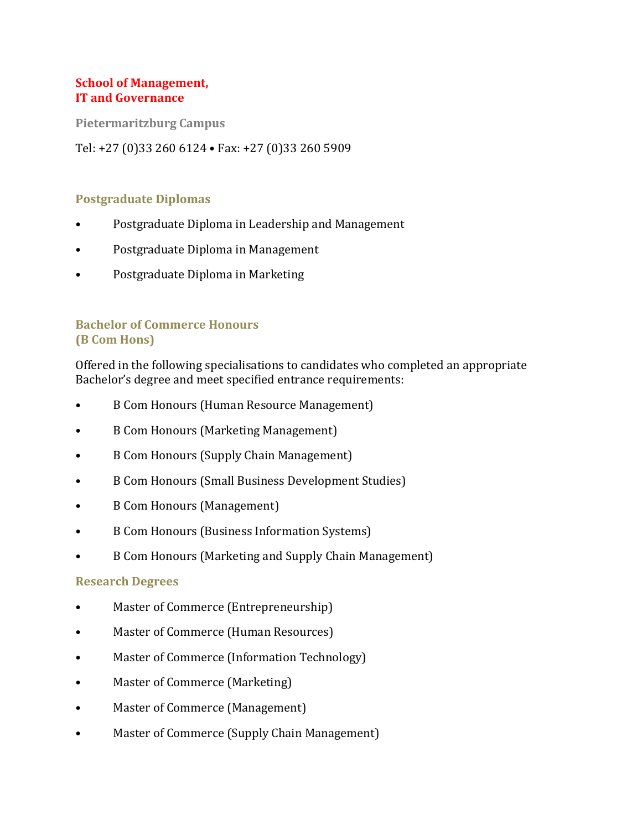### **School of Management, IT and Governance**

**Pietermaritzburg Campus** 

Tel: +27 (0)33 260 6124 • Fax: +27 (0)33 260 5909

#### **Postgraduate Diplomas**

- Postgraduate Diploma in Leadership and Management
- Postgraduate Diploma in Management
- Postgraduate Diploma in Marketing

# **Bachelor of Commerce Honours (B Com Hons)**

Offered in the following specialisations to candidates who completed an appropriate Bachelor's degree and meet specified entrance requirements:

- B Com Honours (Human Resource Management)
- B Com Honours (Marketing Management)
- B Com Honours (Supply Chain Management)
- B Com Honours (Small Business Development Studies)
- B Com Honours (Management)
- B Com Honours (Business Information Systems)
- B Com Honours (Marketing and Supply Chain Management)

#### **Research Degrees**

- Master of Commerce (Entrepreneurship)
- Master of Commerce (Human Resources)
- Master of Commerce (Information Technology)
- Master of Commerce (Marketing)
- Master of Commerce (Management)
- Master of Commerce (Supply Chain Management)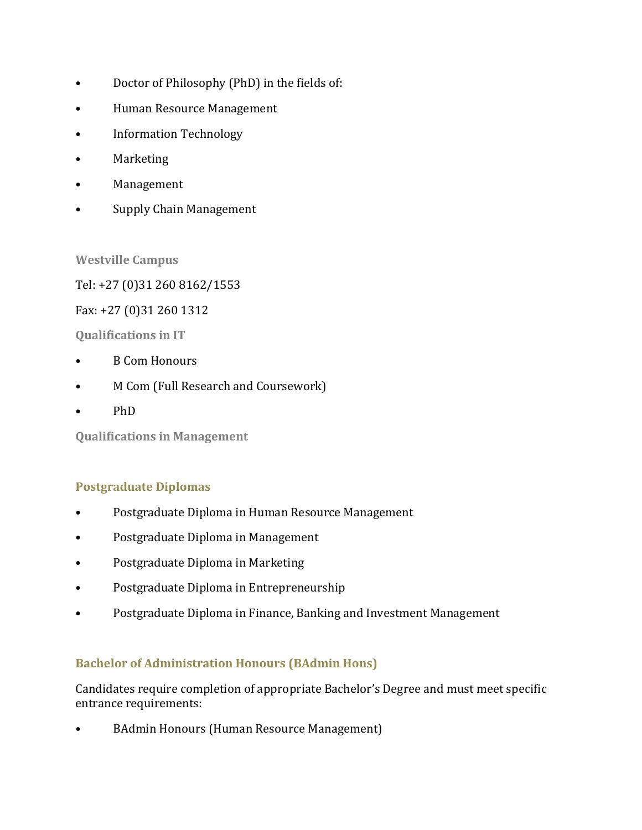- Doctor of Philosophy (PhD) in the fields of:
- Human Resource Management
- Information Technology
- Marketing
- Management
- Supply Chain Management

### **Westville Campus**

Tel: +27 (0)31 260 8162/1553

### Fax: +27 (0)31 260 1312

**Qualifications in IT**

- B Com Honours
- M Com (Full Research and Coursework)
- PhD

**Qualifications in Management** 

## **Postgraduate Diplomas**

- Postgraduate Diploma in Human Resource Management
- Postgraduate Diploma in Management
- Postgraduate Diploma in Marketing
- Postgraduate Diploma in Entrepreneurship
- Postgraduate Diploma in Finance, Banking and Investment Management

## **Bachelor of Administration Honours (BAdmin Hons)**

Candidates require completion of appropriate Bachelor's Degree and must meet specific entrance requirements:

• BAdmin Honours (Human Resource Management)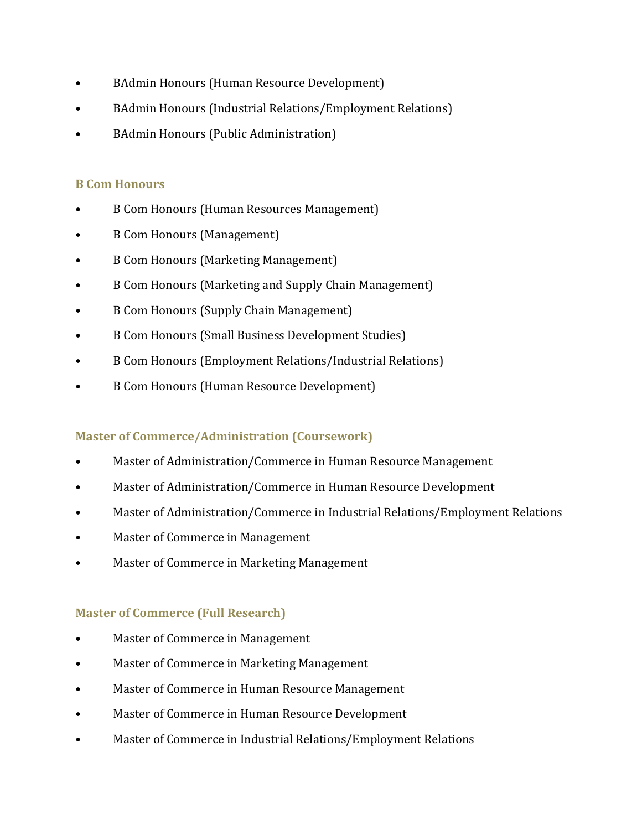- BAdmin Honours (Human Resource Development)
- BAdmin Honours (Industrial Relations/Employment Relations)
- BAdmin Honours (Public Administration)

# **B Com Honours**

- B Com Honours (Human Resources Management)
- B Com Honours (Management)
- B Com Honours (Marketing Management)
- B Com Honours (Marketing and Supply Chain Management)
- B Com Honours (Supply Chain Management)
- B Com Honours (Small Business Development Studies)
- B Com Honours (Employment Relations/Industrial Relations)
- B Com Honours (Human Resource Development)

## **Master of Commerce/Administration (Coursework)**

- Master of Administration/Commerce in Human Resource Management
- Master of Administration/Commerce in Human Resource Development
- Master of Administration/Commerce in Industrial Relations/Employment Relations
- Master of Commerce in Management
- Master of Commerce in Marketing Management

## **Master of Commerce (Full Research)**

- Master of Commerce in Management
- Master of Commerce in Marketing Management
- Master of Commerce in Human Resource Management
- Master of Commerce in Human Resource Development
- Master of Commerce in Industrial Relations/Employment Relations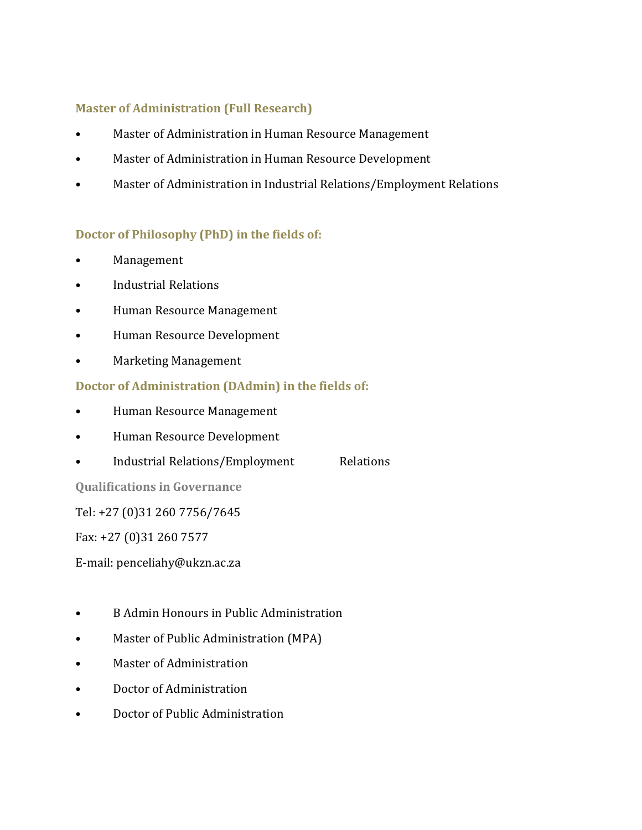## **Master of Administration (Full Research)**

- Master of Administration in Human Resource Management
- Master of Administration in Human Resource Development
- Master of Administration in Industrial Relations/Employment Relations

### **Doctor of Philosophy (PhD) in the fields of:**

- Management
- Industrial Relations
- Human Resource Management
- Human Resource Development
- Marketing Management

## **Doctor of Administration (DAdmin) in the fields of:**

- Human Resource Management
- Human Resource Development
- Industrial Relations/Employment Relations

**Qualifications in Governance**

Tel: +27 (0)31 260 7756/7645

Fax: +27 (0)31 260 7577

E-mail: penceliahy@ukzn.ac.za

- B Admin Honours in Public Administration
- Master of Public Administration (MPA)
- Master of Administration
- Doctor of Administration
- Doctor of Public Administration